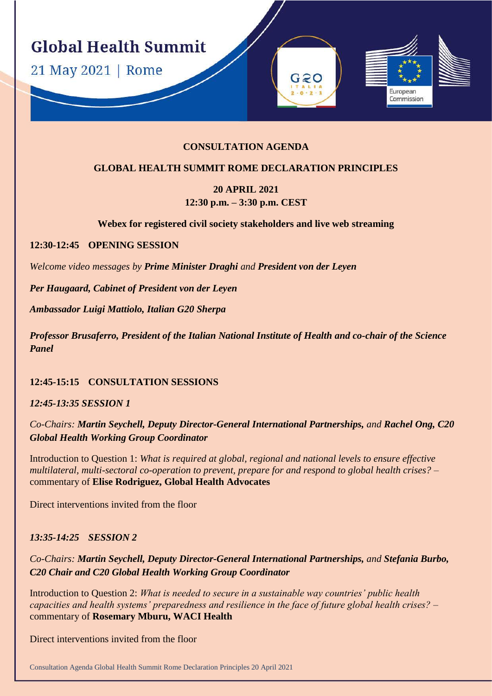**Global Health Summit** 

21 May 2021 | Rome

### **CONSULTATION AGENDA**

 $G2O$ 

Furonean Commission

#### **GLOBAL HEALTH SUMMIT ROME DECLARATION PRINCIPLES**

# **20 APRIL 2021 12:30 p.m. – 3:30 p.m. CEST**

**Webex for registered civil society stakeholders and live web streaming**

#### **12:30-12:45 OPENING SESSION**

*Welcome video messages by Prime Minister Draghi and President von der Leyen*

*Per Haugaard, Cabinet of President von der Leyen*

*Ambassador Luigi Mattiolo, Italian G20 Sherpa* 

*Professor Brusaferro, President of the Italian National Institute of Health and co-chair of the Science Panel*

**12:45-15:15 CONSULTATION SESSIONS**

*12:45-13:35 SESSION 1*

*Co-Chairs: Martin Seychell, Deputy Director-General International Partnerships, and Rachel Ong, C20 Global Health Working Group Coordinator*

Introduction to Question 1: *What is required at global, regional and national levels to ensure effective multilateral, multi-sectoral co-operation to prevent, prepare for and respond to global health crises? –* commentary of **Elise Rodriguez, Global Health Advocates**

Direct interventions invited from the floor

#### *13:35-14:25 SESSION 2*

*Co-Chairs: Martin Seychell, Deputy Director-General International Partnerships, and Stefania Burbo, C20 Chair and C20 Global Health Working Group Coordinator*

Introduction to Question 2: *What is needed to secure in a sustainable way countries' public health capacities and health systems' preparedness and resilience in the face of future global health crises? –* commentary of **Rosemary Mburu, WACI Health**

Direct interventions invited from the floor